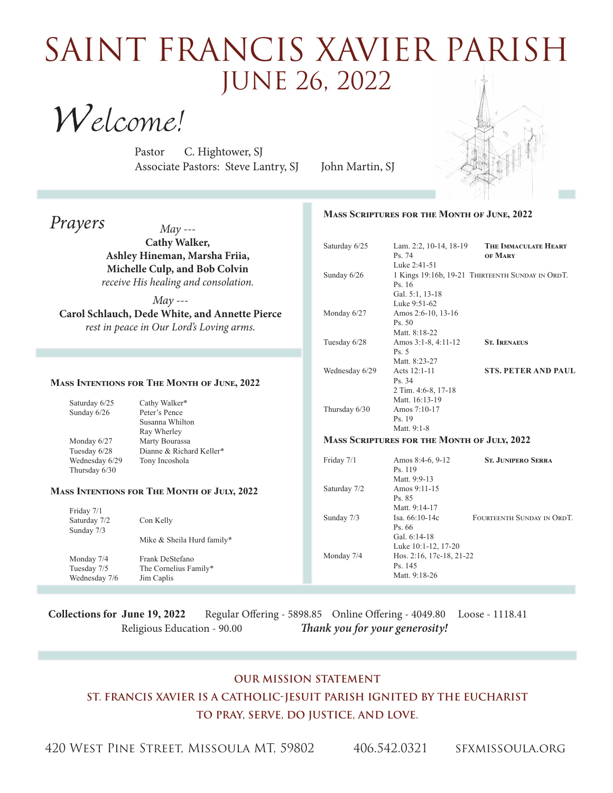## saint FRancis xavier parish June 26, 2022

Welcome!

Pastor C. Hightower, SJ Associate Pastors: Steve Lantry, SJ John Martin, SJ



## *Prayers May ---* **Cathy Walker, Ashley Hineman, Marsha Friia, Michelle Culp, and Bob Colvin** *receive His healing and consolation. May ---*  **Carol Schlauch, Dede White, and Annette Pierce** *rest in peace in Our Lord's Loving arms.* **Mass Scriptures for the Month of June, 2022** Saturday 6/25 Lam. 2:2, 10-14, 18-19 **The Immaculate Heart**  Ps. 74 **of Mary** Luke 2:41-51 Sunday  $6/26$  1 Kings 19:16b, 19-21 THIRTEENTH SUNDAY IN ORDT. Ps. 16 Gal. 5:1, 13-18 Luke 9:51-62 Monday 6/27 Amos 2:6-10, 13-16 Ps. 50 Matt. 8:18-22 Tuesday 6/28 Amos 3:1-8, 4:11-12 **St. Irenaeus** Ps. 5 Matt. 8:23-27 Wednesday 6/29 Acts 12:1-11 **STS. PETER AND PAUL**  Ps. 34 2 Tim. 4:6-8, 17-18 Matt. 16:13-19 Thursday 6/30 Amos 7:10-17 Ps. 19 Matt. 9:1-8 **Mass Scriptures for the Month of July, 2022** Friday 7/1 Amos 8:4-6, 9-12 **St. Junipero Serra** Ps. 119 Matt. 9:9-13<br>Saturday 7/2 Amos 9:11-1 Amos 9:11-15 Ps. 85 Matt. 9:14-17 Sunday 7/3 Isa. 66:10-14c FOURTEENTH SUNDAY IN ORDT. Ps. 66 Gal. 6:14-18 Luke 10:1-12, 17-20 Monday 7/4 Hos. 2:16, 17c-18, 21-22 Ps. 145 Matt. 9:18-26 **Mass Intentions for The Month of June, 2022** Saturday  $6/25$  Cathy Walker\* Sunday  $6/26$  Peter's Pence Susanna Whilton Ray Wherley Monday 6/27 Marty Bourassa Tuesday 6/28 Dianne & Richard Keller\* Wednesday 6/29 Tony Incoshola Thursday 6/30 **Mass Intentions for The Month of July, 2022** Friday 7/1 Saturday 7/2 Con Kelly Sunday 7/3 Mike & Sheila Hurd family\* Monday 7/4 Frank DeStefano Tuesday 7/5 The Cornelius Family\* Wednesday 7/6 Jim Caplis

**Collections for June 19, 2022** Regular Offering - 5898.85 Online Offering - 4049.80 Loose - 1118.41 Religious Education - 90.00 *Thank you for your generosity!* 

## **Our Mission Statement St. Francis Xavier is a Catholic-Jesuit parish ignited by the Eucharist To Pray, Serve, Do Justice, and Love.**

420 West Pine Street, Missoula MT, 59802 406.542.0321 sfxmissoula.org